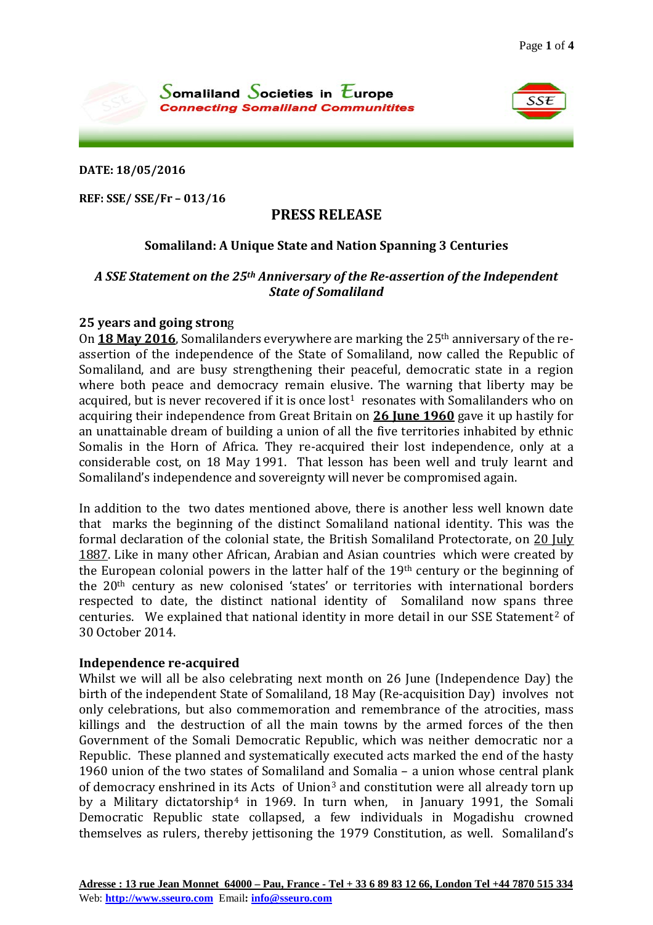SSE



**DATE: 18/05/2016**

**REF: SSE/ SSE/Fr – 013/16**

# **PRESS RELEASE**

# **Somaliland: A Unique State and Nation Spanning 3 Centuries**

### *A SSE Statement on the 25th Anniversary of the Re-assertion of the Independent State of Somaliland*

### **25 years and going stron**g

On **18 May 2016**, Somalilanders everywhere are marking the 25th anniversary of the reassertion of the independence of the State of Somaliland, now called the Republic of Somaliland, and are busy strengthening their peaceful, democratic state in a region where both peace and democracy remain elusive. The warning that liberty may be acquired, but is never recovered if it is once  $lost<sup>1</sup>$  resonates with Somalilanders who on acquiring their independence from Great Britain on **26 June 1960** gave it up hastily for an unattainable dream of building a union of all the five territories inhabited by ethnic Somalis in the Horn of Africa. They re-acquired their lost independence, only at a considerable cost, on 18 May 1991. That lesson has been well and truly learnt and Somaliland's independence and sovereignty will never be compromised again.

In addition to the two dates mentioned above, there is another less well known date that marks the beginning of the distinct Somaliland national identity. This was the formal declaration of the colonial state, the British Somaliland Protectorate, on 20 July 1887. Like in many other African, Arabian and Asian countries which were created by the European colonial powers in the latter half of the 19th century or the beginning of the 20th century as new colonised 'states' or territories with international borders respected to date, the distinct national identity of Somaliland now spans three centuries. We explained that national identity in more detail in our SSE Statement[2](#page-3-1) of 30 October 2014.

#### **Independence re-acquired**

Whilst we will all be also celebrating next month on 26 June (Independence Day) the birth of the independent State of Somaliland, 18 May (Re-acquisition Day) involves not only celebrations, but also commemoration and remembrance of the atrocities, mass killings and the destruction of all the main towns by the armed forces of the then Government of the Somali Democratic Republic, which was neither democratic nor a Republic. These planned and systematically executed acts marked the end of the hasty 1960 union of the two states of Somaliland [an](#page-3-2)d Somalia – a union whose central plank of democracy enshrined in [it](#page-3-3)s Acts of Union3 and constitution were all already torn up by a Military dictatorship<sup>4</sup> in 1969. In turn when, in January 1991, the Somali Democratic Republic state collapsed, a few individuals in Mogadishu crowned themselves as rulers, thereby jettisoning the 1979 Constitution, as well. Somaliland's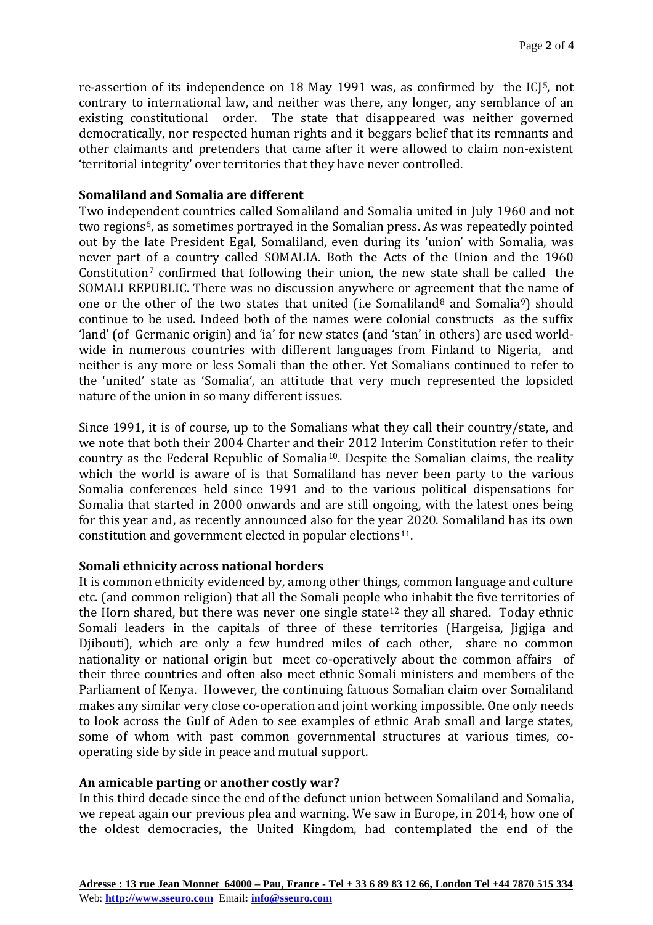re-assertion of its independence on 18 May 1991 was, as confirmed by the ICJ[5](#page-3-4), not contrary to international law, and neither was there, any longer, any semblance of an existing constitutional order. The state that disappeared was neither governed democratically, nor respected human rights and it beggars belief that its remnants and other claimants and pretenders that came after it were allowed to claim non-existent 'territorial integrity' over territories that they have never controlled.

# **Somaliland and Somalia are different**

Two independent countries called Somaliland and Somalia united in July 1960 and not two regions<sup>6</sup>, as sometimes portrayed in the Somalian press. As was repeatedly pointed out by the late President Egal, Somaliland, even during its 'union' with Somalia, was never part of a country called SOMALIA. Both the Acts of the Union and the 1960 Constitution<sup>[7](#page-3-6)</sup> confirmed that following their union, the new state shall be called the SOMALI REPUBLIC. There was no discussion anywhere or agreement that the name of one or the other of the two states that united (i.e Somaliland<sup>[8](#page-3-7)</sup> and Somalia<sup>[9](#page-3-8)</sup>) should continue to be used. Indeed both of the names were colonial constructs as the suffix 'land' (of Germanic origin) and 'ia' for new states (and 'stan' in others) are used worldwide in numerous countries with different languages from Finland to Nigeria, and neither is any more or less Somali than the other. Yet Somalians continued to refer to the 'united' state as 'Somalia', an attitude that very much represented the lopsided nature of the union in so many different issues.

Since 1991, it is of course, up to the Somalians what they call their country/state, and we note that both their 2004 Charter and their 2012 Interim Constitution refer to their country as the Federal Republic of Somalia[10](#page-3-9). Despite the Somalian claims, the reality which the world is aware of is that Somaliland has never been party to the various Somalia conferences held since 1991 and to the various political dispensations for Somalia that started in 2000 onwards and are still ongoing, with the latest ones being for this year and, as recently announced also for the year 2020. Somaliland has its own constitution and government elected in popular elections<sup>[11](#page-3-10)</sup>.

# **Somali ethnicity across national borders**

It is common ethnicity evidenced by, among other things, common language and culture etc. (and common religion) that all the Somali people who inhabit the five territories of the Horn shared, but there was never one single state  $12$  they all shared. Today ethnic Somali leaders in the capitals of three of these territories (Hargeisa, Jigjiga and Djibouti), which are only a few hundred miles of each other, share no common nationality or national origin but meet co-operatively about the common affairs of their three countries and often also meet ethnic Somali ministers and members of the Parliament of Kenya. However, the continuing fatuous Somalian claim over Somaliland makes any similar very close co-operation and joint working impossible. One only needs to look across the Gulf of Aden to see examples of ethnic Arab small and large states, some of whom with past common governmental structures at various times, cooperating side by side in peace and mutual support.

# **An amicable parting or another costly war?**

In this third decade since the end of the defunct union between Somaliland and Somalia, we repeat again our previous plea and warning. We saw in Europe, in 2014, how one of the oldest democracies, the United Kingdom, had contemplated the end of the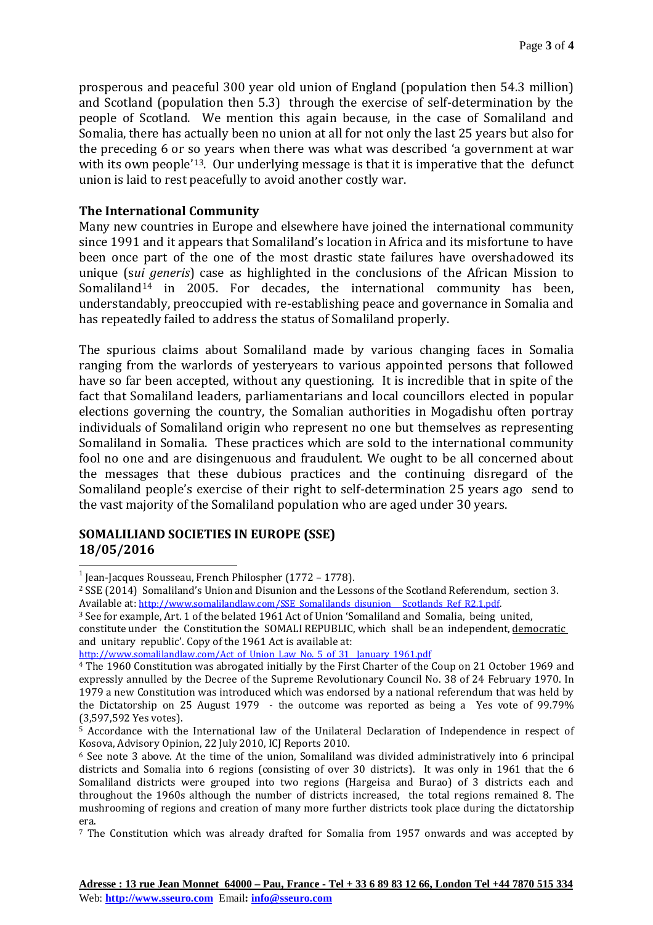prosperous and peaceful 300 year old union of England (population then 54.3 million) and Scotland (population then 5.3) through the exercise of self-determination by the people of Scotland. We mention this again because, in the case of Somaliland and Somalia, there has actually been no union at all for not only the last 25 years but also for the preceding 6 or so years when there was what was described 'a government at war with its own people<sup>'13</sup>. Our underlying message is that it is imperative that the defunct union is laid to rest peacefully to avoid another costly war.

# **The International Community**

Many new countries in Europe and elsewhere have joined the international community since 1991 and it appears that Somaliland's location in Africa and its misfortune to have been once part of the one of the most drastic state failures have overshadowed its unique (s*ui generis*) case as highlighted in the conclusions of the African Mission to Somaliland<sup>[14](#page-3-13)</sup> in 2005. For decades, the international community has been, understandably, preoccupied with re-establishing peace and governance in Somalia and has repeatedly failed to address the status of Somaliland properly.

The spurious claims about Somaliland made by various changing faces in Somalia ranging from the warlords of yesteryears to various appointed persons that followed have so far been accepted, without any questioning. It is incredible that in spite of the fact that Somaliland leaders, parliamentarians and local councillors elected in popular elections governing the country, the Somalian authorities in Mogadishu often portray individuals of Somaliland origin who represent no one but themselves as representing Somaliland in Somalia. These practices which are sold to the international community fool no one and are disingenuous and fraudulent. We ought to be all concerned about the messages that these dubious practices and the continuing disregard of the Somaliland people's exercise of their right to self-determination 25 years ago send to the vast majority of the Somaliland population who are aged under 30 years.

### **SOMALILIAND SOCIETIES IN EUROPE (SSE) 18/05/2016**

<sup>3</sup> See for example, Art. 1 of the belated 1961 Act of Union 'Somaliland and Somalia, being united,

 $^{-1}$  Jean-Jacques Rousseau, French Philospher (1772 – 1778).

<sup>2</sup> SSE (2014) Somaliland's Union and Disunion and the Lessons of the Scotland Referendum, section 3. Available at: [http://www.somalilandlaw.com/SSE\\_Somalilands\\_disunion\\_\\_\\_Scotlands\\_Ref\\_R2.1.pdf.](http://www.somalilandlaw.com/SSE_Somalilands_disunion___Scotlands_Ref_R2.1.pdf)

constitute under the Constitution the SOMALI REPUBLIC, which shall be an independent, democratic and unitary republic'. Copy of the 1961 Act is available at:

[http://www.somalilandlaw.com/Act\\_of\\_Union\\_Law\\_No.\\_5\\_of\\_31\\_\\_January\\_1961.pdf](http://www.somalilandlaw.com/Act_of_Union_Law_No._5_of_31__January_1961.pdf)

<sup>4</sup> The 1960 Constitution was abrogated initially by the First Charter of the Coup on 21 October 1969 and expressly annulled by the Decree of the Supreme Revolutionary Council No. 38 of 24 February 1970. In 1979 a new Constitution was introduced which was endorsed by a national referendum that was held by the Dictatorship on 25 August 1979 - the outcome was reported as being a Yes vote of 99.79% (3,597,592 Yes votes).

<sup>&</sup>lt;sup>5</sup> Accordance with the International law of the Unilateral Declaration of Independence in respect of Kosova, Advisory Opinion, 22 July 2010, ICJ Reports 2010.

<sup>6</sup> See note 3 above. At the time of the union, Somaliland was divided administratively into 6 principal districts and Somalia into 6 regions (consisting of over 30 districts). It was only in 1961 that the 6 Somaliland districts were grouped into two regions (Hargeisa and Burao) of 3 districts each and throughout the 1960s although the number of districts increased, the total regions remained 8. The mushrooming of regions and creation of many more further districts took place during the dictatorship era.

<sup>7</sup> The Constitution which was already drafted for Somalia from 1957 onwards and was accepted by